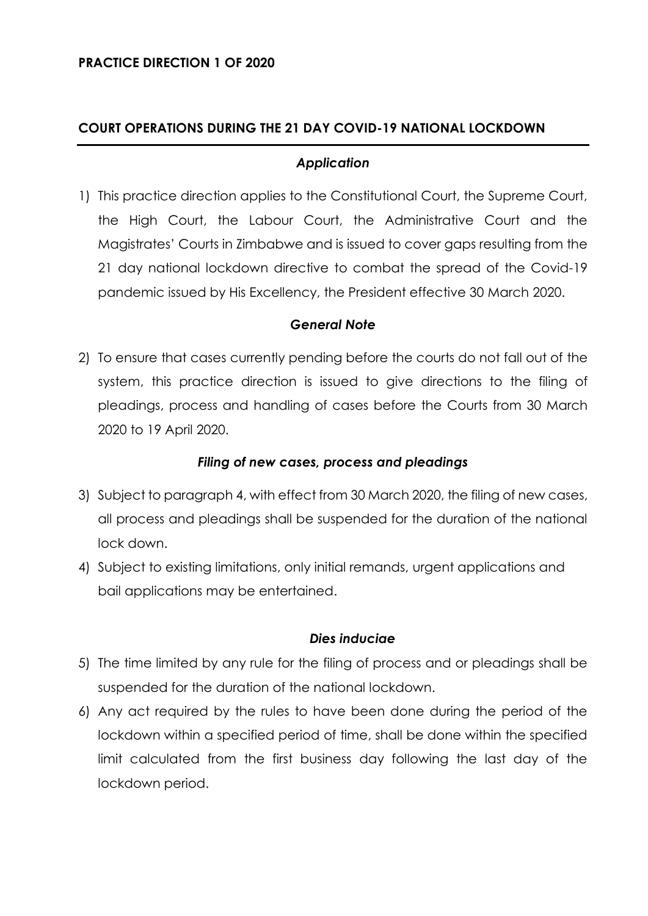## **COURT OPERATIONS DURING THE 21 DAY COVID-19 NATIONAL LOCKDOWN**

### *Application*

1) This practice direction applies to the Constitutional Court, the Supreme Court, the High Court, the Labour Court, the Administrative Court and the Magistrates' Courts in Zimbabwe and is issued to cover gaps resulting from the 21 day national lockdown directive to combat the spread of the Covid-19 pandemic issued by His Excellency, the President effective 30 March 2020.

### *General Note*

2) To ensure that cases currently pending before the courts do not fall out of the system, this practice direction is issued to give directions to the filing of pleadings, process and handling of cases before the Courts from 30 March 2020 to 19 April 2020.

## *Filing of new cases, process and pleadings*

- 3) Subject to paragraph 4, with effect from 30 March 2020, the filing of new cases, all process and pleadings shall be suspended for the duration of the national lock down.
- 4) Subject to existing limitations, only initial remands, urgent applications and bail applications may be entertained.

#### *Dies induciae*

- 5) The time limited by any rule for the filing of process and or pleadings shall be suspended for the duration of the national lockdown.
- 6) Any act required by the rules to have been done during the period of the lockdown within a specified period of time, shall be done within the specified limit calculated from the first business day following the last day of the lockdown period.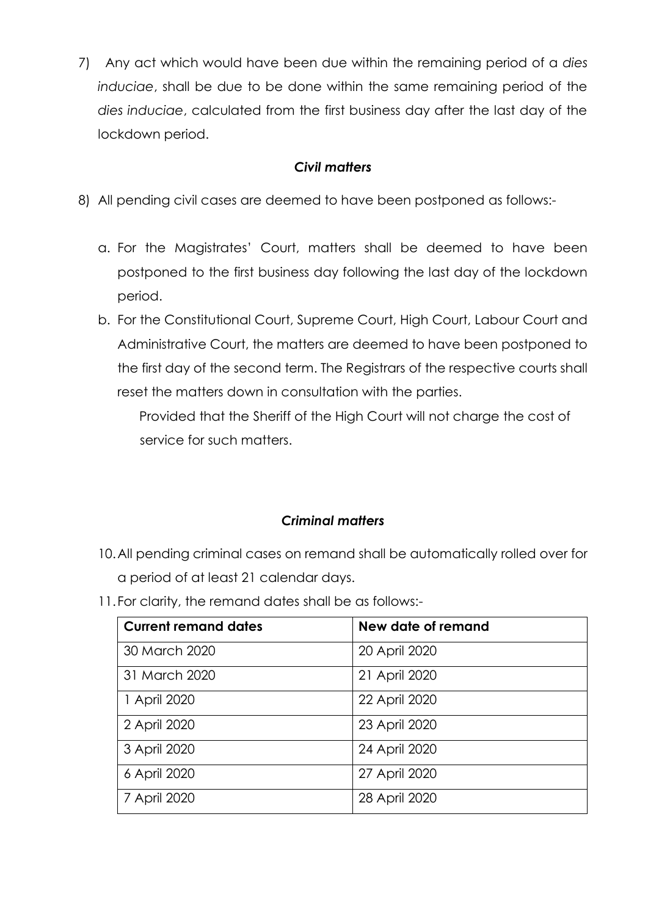7) Any act which would have been due within the remaining period of a *dies induciae*, shall be due to be done within the same remaining period of the *dies induciae*, calculated from the first business day after the last day of the lockdown period.

# *Civil matters*

- 8) All pending civil cases are deemed to have been postponed as follows:
	- a. For the Magistrates' Court, matters shall be deemed to have been postponed to the first business day following the last day of the lockdown period.
	- b. For the Constitutional Court, Supreme Court, High Court, Labour Court and Administrative Court, the matters are deemed to have been postponed to the first day of the second term. The Registrars of the respective courts shall reset the matters down in consultation with the parties.

 Provided that the Sheriff of the High Court will not charge the cost of service for such matters.

# *Criminal matters*

- 10.All pending criminal cases on remand shall be automatically rolled over for a period of at least 21 calendar days.
- 11.For clarity, the remand dates shall be as follows:-

| <b>Current remand dates</b> | New date of remand |
|-----------------------------|--------------------|
| 30 March 2020               | 20 April 2020      |
| 31 March 2020               | 21 April 2020      |
| 1 April 2020                | 22 April 2020      |
| 2 April 2020                | 23 April 2020      |
| 3 April 2020                | 24 April 2020      |
| 6 April 2020                | 27 April 2020      |
| 7 April 2020                | 28 April 2020      |